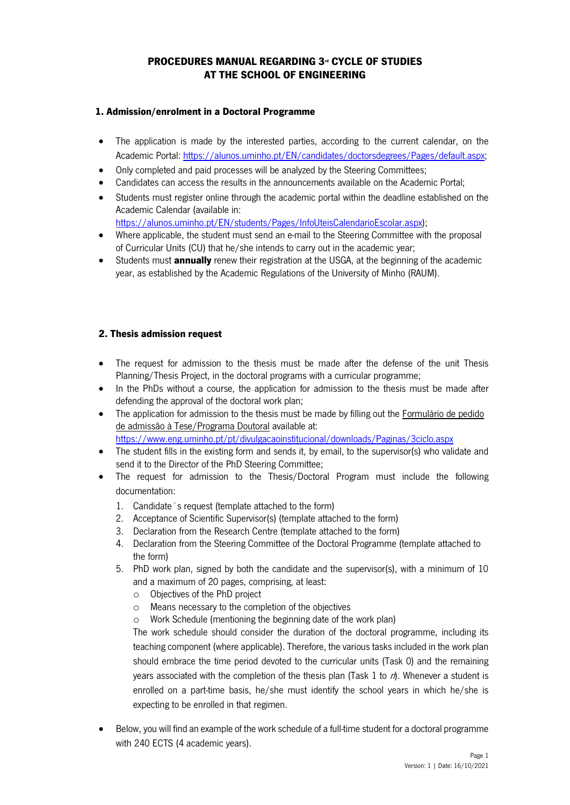## **PROCEDURES MANUAL REGARDING 3<sup>rd</sup> CYCLE OF STUDIES** AT THE SCHOOL OF ENGINEERING

#### 1. Admission/enrolment in a Doctoral Programme

- The application is made by the interested parties, according to the current calendar, on the Academic Portal: https://alunos.uminho.pt/EN/candidates/doctorsdegrees/Pages/default.aspx;
- Only completed and paid processes will be analyzed by the Steering Committees;
- Candidates can access the results in the announcements available on the Academic Portal;
- Students must register online through the academic portal within the deadline established on the Academic Calendar (available in: https://alunos.uminho.pt/EN/students/Pages/InfoUteisCalendarioEscolar.aspx);
- Where applicable, the student must send an e-mail to the Steering Committee with the proposal of Curricular Units (CU) that he/she intends to carry out in the academic year;
- Students must **annually** renew their registration at the USGA, at the beginning of the academic year, as established by the Academic Regulations of the University of Minho (RAUM).

### 2. Thesis admission request

- The request for admission to the thesis must be made after the defense of the unit Thesis Planning/Thesis Project, in the doctoral programs with a curricular programme;
- In the PhDs without a course, the application for admission to the thesis must be made after defending the approval of the doctoral work plan;
- The application for admission to the thesis must be made by filling out the Formulário de pedido de admissão à Tese/Programa Doutoral available at: https://www.eng.uminho.pt/pt/divulgacaoinstitucional/downloads/Paginas/3ciclo.aspx
- The student fills in the existing form and sends it, by email, to the supervisor(s) who validate and send it to the Director of the PhD Steering Committee;
- The request for admission to the Thesis/Doctoral Program must include the following documentation:
	- 1. Candidate´s request (template attached to the form)
	- 2. Acceptance of Scientific Supervisor(s) (template attached to the form)
	- 3. Declaration from the Research Centre (template attached to the form)
	- 4. Declaration from the Steering Committee of the Doctoral Programme (template attached to the form)
	- 5. PhD work plan, signed by both the candidate and the supervisor(s), with a minimum of 10 and a maximum of 20 pages, comprising, at least:
		- o Objectives of the PhD project
		- o Means necessary to the completion of the objectives
		- o Work Schedule (mentioning the beginning date of the work plan)

The work schedule should consider the duration of the doctoral programme, including its teaching component (where applicable). Therefore, the various tasks included in the work plan should embrace the time period devoted to the curricular units (Task 0) and the remaining vears associated with the completion of the thesis plan (Task 1 to  $n$ ). Whenever a student is enrolled on a part-time basis, he/she must identify the school years in which he/she is expecting to be enrolled in that regimen.

 Below, you will find an example of the work schedule of a full-time student for a doctoral programme with 240 ECTS (4 academic years).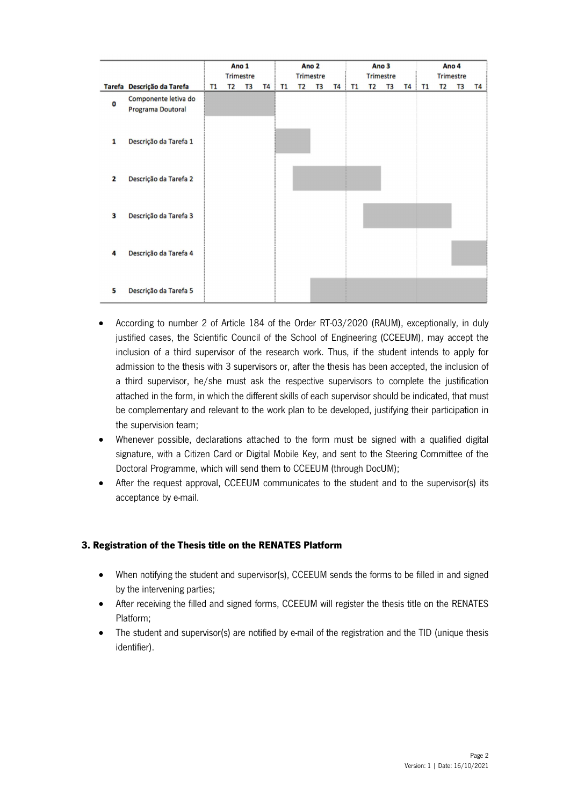|              |                                           |                  |           | Ano <sub>1</sub> |           | Ano <sub>2</sub> |                |                |    | Ano <sub>3</sub> |                |                |    | Ano <sub>4</sub> |                |                |    |
|--------------|-------------------------------------------|------------------|-----------|------------------|-----------|------------------|----------------|----------------|----|------------------|----------------|----------------|----|------------------|----------------|----------------|----|
|              |                                           | <b>Trimestre</b> |           |                  |           | <b>Trimestre</b> |                |                |    | <b>Trimestre</b> |                |                |    | <b>Trimestre</b> |                |                |    |
|              | Tarefa Descrição da Tarefa                | <b>T1</b>        | <b>T2</b> | T <sub>3</sub>   | <b>T4</b> | <b>T1</b>        | T <sub>2</sub> | T <sub>3</sub> | T4 | <b>T1</b>        | T <sub>2</sub> | T <sub>3</sub> | T4 | <b>T1</b>        | T <sub>2</sub> | T <sub>3</sub> | T4 |
| $\mathbf 0$  | Componente letiva do<br>Programa Doutoral |                  |           |                  |           |                  |                |                |    |                  |                |                |    |                  |                |                |    |
| 1            | Descrição da Tarefa 1                     |                  |           |                  |           |                  |                |                |    |                  |                |                |    |                  |                |                |    |
| $\mathbf{z}$ | Descrição da Tarefa 2                     |                  |           |                  |           |                  |                |                |    |                  |                |                |    |                  |                |                |    |
| 3            | Descrição da Tarefa 3                     |                  |           |                  |           |                  |                |                |    |                  |                |                |    |                  |                |                |    |
| 4            | Descrição da Tarefa 4                     |                  |           |                  |           |                  |                |                |    |                  |                |                |    |                  |                |                |    |
| 5            | Descrição da Tarefa 5                     |                  |           |                  |           |                  |                |                |    |                  |                |                |    |                  |                |                |    |

- According to number 2 of Article 184 of the Order RT-03/2020 (RAUM), exceptionally, in duly justified cases, the Scientific Council of the School of Engineering (CCEEUM), may accept the inclusion of a third supervisor of the research work. Thus, if the student intends to apply for admission to the thesis with 3 supervisors or, after the thesis has been accepted, the inclusion of a third supervisor, he/she must ask the respective supervisors to complete the justification attached in the form, in which the different skills of each supervisor should be indicated, that must be complementary and relevant to the work plan to be developed, justifying their participation in the supervision team;
- Whenever possible, declarations attached to the form must be signed with a qualified digital signature, with a Citizen Card or Digital Mobile Key, and sent to the Steering Committee of the Doctoral Programme, which will send them to CCEEUM (through DocUM);
- After the request approval, CCEEUM communicates to the student and to the supervisor(s) its acceptance by e-mail.

### 3. Registration of the Thesis title on the RENATES Platform

- When notifying the student and supervisor(s), CCEEUM sends the forms to be filled in and signed by the intervening parties;
- After receiving the filled and signed forms, CCEEUM will register the thesis title on the RENATES Platform;
- The student and supervisor(s) are notified by e-mail of the registration and the TID (unique thesis identifier).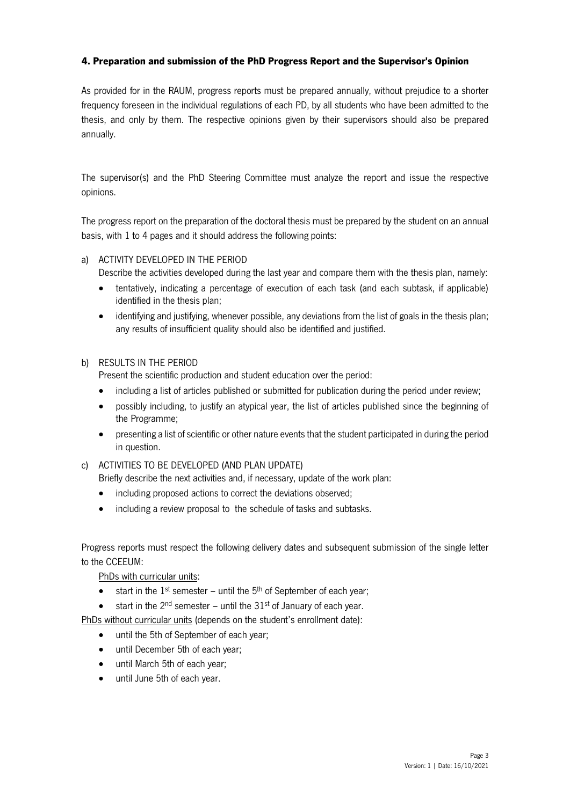### 4. Preparation and submission of the PhD Progress Report and the Supervisor's Opinion

As provided for in the RAUM, progress reports must be prepared annually, without prejudice to a shorter frequency foreseen in the individual regulations of each PD, by all students who have been admitted to the thesis, and only by them. The respective opinions given by their supervisors should also be prepared annually.

The supervisor(s) and the PhD Steering Committee must analyze the report and issue the respective opinions.

The progress report on the preparation of the doctoral thesis must be prepared by the student on an annual basis, with 1 to 4 pages and it should address the following points:

- a) ACTIVITY DEVELOPED IN THE PERIOD
	- Describe the activities developed during the last year and compare them with the thesis plan, namely:
	- tentatively, indicating a percentage of execution of each task (and each subtask, if applicable) identified in the thesis plan;
	- identifying and justifying, whenever possible, any deviations from the list of goals in the thesis plan; any results of insufficient quality should also be identified and justified.
- b) RESULTS IN THE PERIOD

Present the scientific production and student education over the period:

- including a list of articles published or submitted for publication during the period under review;
- possibly including, to justify an atypical year, the list of articles published since the beginning of the Programme;
- presenting a list of scientific or other nature events that the student participated in during the period in question.
- c) ACTIVITIES TO BE DEVELOPED (AND PLAN UPDATE)

Briefly describe the next activities and, if necessary, update of the work plan:

- including proposed actions to correct the deviations observed;
- including a review proposal to the schedule of tasks and subtasks.

Progress reports must respect the following delivery dates and subsequent submission of the single letter to the CCEEUM:

PhDs with curricular units:

- start in the  $1<sup>st</sup>$  semester until the  $5<sup>th</sup>$  of September of each year;
- start in the  $2<sup>nd</sup>$  semester until the  $31<sup>st</sup>$  of January of each year.

PhDs without curricular units (depends on the student's enrollment date):

- until the 5th of September of each year;
- until December 5th of each year;
- until March 5th of each year;
- until June 5th of each year.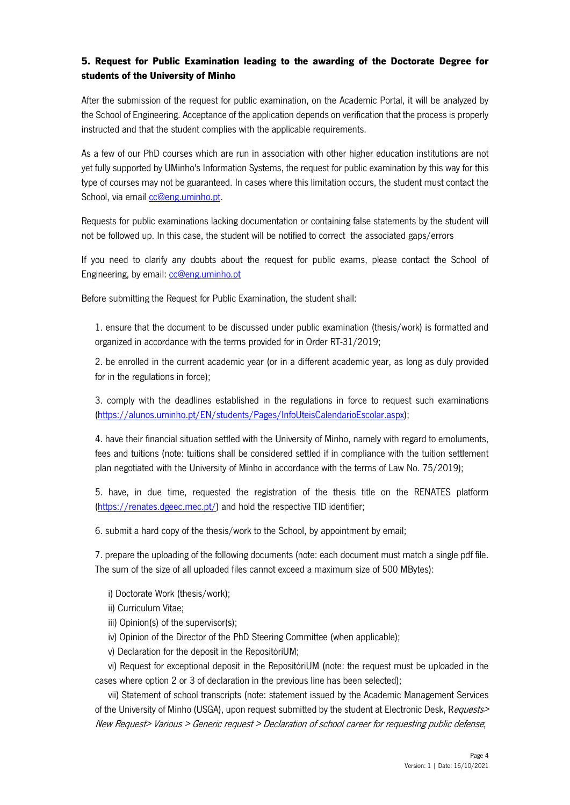# 5. Request for Public Examination leading to the awarding of the Doctorate Degree for students of the University of Minho

After the submission of the request for public examination, on the Academic Portal, it will be analyzed by the School of Engineering. Acceptance of the application depends on verification that the process is properly instructed and that the student complies with the applicable requirements.

As a few of our PhD courses which are run in association with other higher education institutions are not yet fully supported by UMinho's Information Systems, the request for public examination by this way for this type of courses may not be guaranteed. In cases where this limitation occurs, the student must contact the School, via email cc@eng.uminho.pt.

Requests for public examinations lacking documentation or containing false statements by the student will not be followed up. In this case, the student will be notified to correct the associated gaps/errors

If you need to clarify any doubts about the request for public exams, please contact the School of Engineering, by email: cc@eng.uminho.pt

Before submitting the Request for Public Examination, the student shall:

1. ensure that the document to be discussed under public examination (thesis/work) is formatted and organized in accordance with the terms provided for in Order RT-31/2019;

2. be enrolled in the current academic year (or in a different academic year, as long as duly provided for in the regulations in force);

3. comply with the deadlines established in the regulations in force to request such examinations (https://alunos.uminho.pt/EN/students/Pages/InfoUteisCalendarioEscolar.aspx);

4. have their financial situation settled with the University of Minho, namely with regard to emoluments, fees and tuitions (note: tuitions shall be considered settled if in compliance with the tuition settlement plan negotiated with the University of Minho in accordance with the terms of Law No. 75/2019);

5. have, in due time, requested the registration of the thesis title on the RENATES platform (https://renates.dgeec.mec.pt/) and hold the respective TID identifier;

6. submit a hard copy of the thesis/work to the School, by appointment by email;

7. prepare the uploading of the following documents (note: each document must match a single pdf file. The sum of the size of all uploaded files cannot exceed a maximum size of 500 MBytes):

- i) Doctorate Work (thesis/work);
- ii) Curriculum Vitae;
- iii) Opinion(s) of the supervisor(s);
- iv) Opinion of the Director of the PhD Steering Committee (when applicable);
- v) Declaration for the deposit in the RepositóriUM;

 vi) Request for exceptional deposit in the RepositóriUM (note: the request must be uploaded in the cases where option 2 or 3 of declaration in the previous line has been selected);

 vii) Statement of school transcripts (note: statement issued by the Academic Management Services of the University of Minho (USGA), upon request submitted by the student at Electronic Desk, Requests> New Request> Various > Generic request > Declaration of school career for requesting public defense;